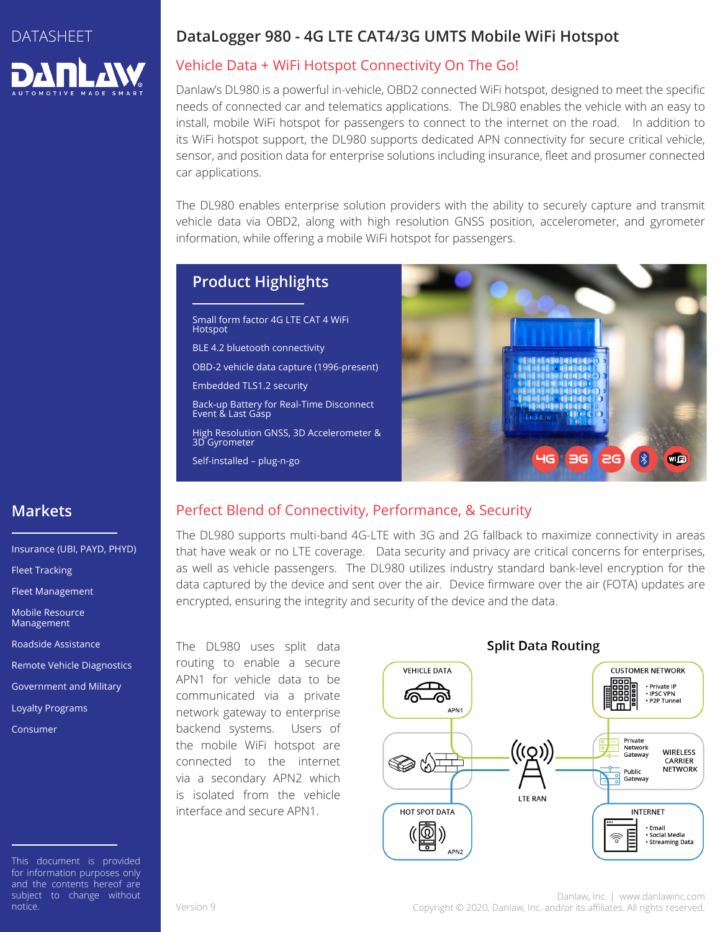# DATASHEET

## **DataLogger 980 - 4G LTE CAT4/3G UMTS Mobile WiFi Hotspot**

## Vehicle Data + WiFi Hotspot Connectivity On The Go!

Danlaw's DL980 is a powerful in-vehicle, OBD2 connected WiFi hotspot, designed to meet the specific needs of connected car and telematics applications. The DL980 enables the vehicle with an easy to install, mobile WiFi hotspot for passengers to connect to the internet on the road. In addition to its WiFi hotspot support, the DL980 supports dedicated APN connectivity for secure critical vehicle, sensor, and position data for enterprise solutions including insurance, fleet and prosumer connected car applications.

The DL980 enables enterprise solution providers with the ability to securely capture and transmit vehicle data via OBD2, along with high resolution GNSS position, accelerometer, and gyrometer information, while offering a mobile WiFi hotspot for passengers.

# **Product Highlights**

Small form factor 4G LTE CAT 4 WiFi Hotspot

BLE 4.2 bluetooth connectivity

OBD-2 vehicle data capture (1996-present)

Embedded TLS1.2 security

Back-up Battery for Real-Time Disconnect Event & Last Gasp

High Resolution GNSS, 3D Accelerometer & 3D Gyrometer

Self-installed – plug-n-go



# **Markets**

Insurance (UBI, PAYD, PHYD) Fleet Tracking Fleet Management Mobile Resource Management Roadside Assistance Remote Vehicle Diagnostics Government and Military Loyalty Programs

Consumer

This document is provided for information purposes only and the contents hereof are subject to change without notice.

## Perfect Blend of Connectivity, Performance, & Security

The DL980 supports multi-band 4G-LTE with 3G and 2G fallback to maximize connectivity in areas that have weak or no LTE coverage. Data security and privacy are critical concerns for enterprises, as well as vehicle passengers. The DL980 utilizes industry standard bank-level encryption for the data captured by the device and sent over the air. Device firmware over the air (FOTA) updates are encrypted, ensuring the integrity and security of the device and the data.

The DL980 uses split data routing to enable a secure APN1 for vehicle data to be communicated via a private network gateway to enterprise backend systems. Users of the mobile WiFi hotspot are connected to the internet via a secondary APN2 which is isolated from the vehicle interface and secure APN1.



### **Split Data Routing**

Danlaw, Inc. | www.danlawinc.com Version 9 Copyright © 2020, Danlaw, Inc. and/or its affiliates. All rights reserved.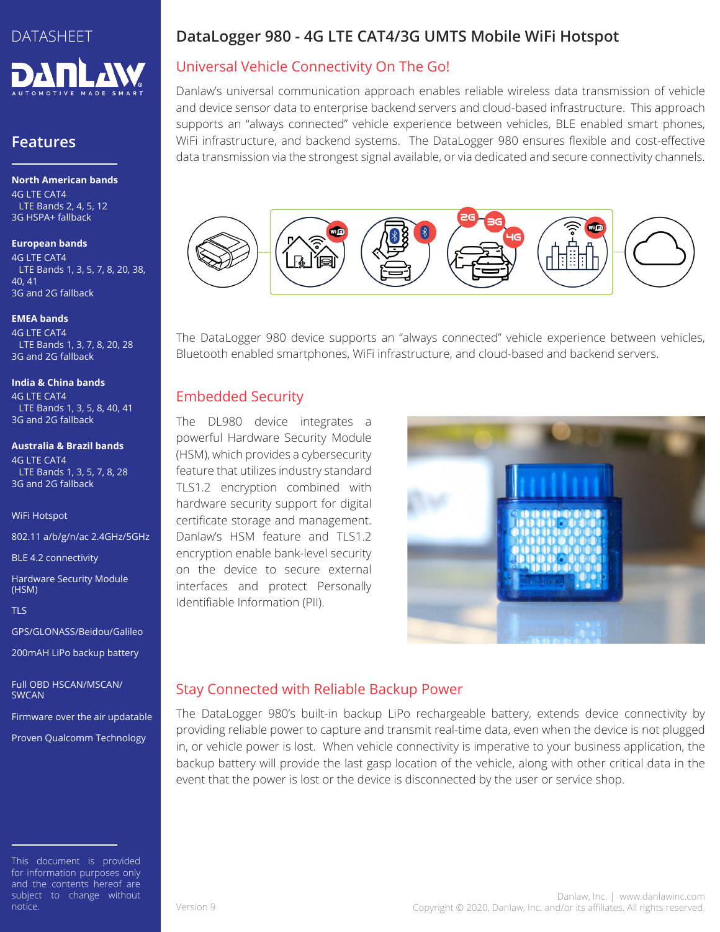

## **Features**

**North American bands** 4G LTE CAT4 LTE Bands 2, 4, 5, 12 3G HSPA+ fallback

#### **European bands**

4G LTE CAT4 LTE Bands 1, 3, 5, 7, 8, 20, 38, 40, 41 3G and 2G fallback

#### **EMEA bands**

4G LTE CAT4 LTE Bands 1, 3, 7, 8, 20, 28 3G and 2G fallback

#### **India & China bands**

4G LTE CAT4 LTE Bands 1, 3, 5, 8, 40, 41 3G and 2G fallback

#### **Australia & Brazil bands**

4G LTE CAT4 LTE Bands 1, 3, 5, 7, 8, 28 3G and 2G fallback

WiFi Hotspot

802.11 a/b/g/n/ac 2.4GHz/5GHz

BLE 4.2 connectivity

Hardware Security Module (HSM)

TLS

GPS/GLONASS/Beidou/Galileo

200mAH LiPo backup battery

Full OBD HSCAN/MSCAN/ **SWCAN** 

Firmware over the air updatable

Proven Qualcomm Technology

This document is provided for information purposes only and the contents hereof are subject to change without notice.

# **DataLogger 980 - 4G LTE CAT4/3G UMTS Mobile WiFi Hotspot**

# Universal Vehicle Connectivity On The Go!

Danlaw's universal communication approach enables reliable wireless data transmission of vehicle and device sensor data to enterprise backend servers and cloud-based infrastructure. This approach supports an "always connected" vehicle experience between vehicles, BLE enabled smart phones, WiFi infrastructure, and backend systems. The DataLogger 980 ensures flexible and cost-effective data transmission via the strongest signal available, or via dedicated and secure connectivity channels.



The DataLogger 980 device supports an "always connected" vehicle experience between vehicles, Bluetooth enabled smartphones, WiFi infrastructure, and cloud-based and backend servers.

## Embedded Security

The DL980 device integrates a powerful Hardware Security Module (HSM), which provides a cybersecurity feature that utilizes industry standard TLS1.2 encryption combined with hardware security support for digital certificate storage and management. Danlaw's HSM feature and TLS1.2 encryption enable bank-level security on the device to secure external interfaces and protect Personally Identifiable Information (PII).



## Stay Connected with Reliable Backup Power

The DataLogger 980's built-in backup LiPo rechargeable battery, extends device connectivity by providing reliable power to capture and transmit real-time data, even when the device is not plugged in, or vehicle power is lost. When vehicle connectivity is imperative to your business application, the backup battery will provide the last gasp location of the vehicle, along with other critical data in the event that the power is lost or the device is disconnected by the user or service shop.